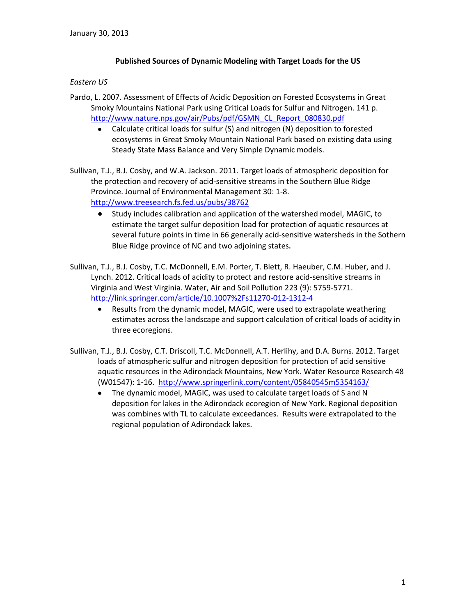## **Published Sources of Dynamic Modeling with Target Loads for the US**

## *Eastern US*

- Pardo, L. 2007. Assessment of Effects of Acidic Deposition on Forested Ecosystems in Great Smoky Mountains National Park using Critical Loads for Sulfur and Nitrogen. 141 p. [http://www.nature.nps.gov/air/Pubs/pdf/GSMN\\_CL\\_Report\\_080830.pdf](http://www.nature.nps.gov/air/Pubs/pdf/GSMN_CL_Report_080830.pdf)
	- Calculate critical loads for sulfur (S) and nitrogen (N) deposition to forested  $\bullet$ ecosystems in Great Smoky Mountain National Park based on existing data using Steady State Mass Balance and Very Simple Dynamic models.
- Sullivan, T.J., B.J. Cosby, and W.A. Jackson. 2011. Target loads of atmospheric deposition for the protection and recovery of acid-sensitive streams in the Southern Blue Ridge Province. Journal of Environmental Management 30: 1-8. <http://www.treesearch.fs.fed.us/pubs/38762>
	- Study includes calibration and application of the watershed model, MAGIC, to  $\bullet$ estimate the target sulfur deposition load for protection of aquatic resources at several future points in time in 66 generally acid-sensitive watersheds in the Sothern Blue Ridge province of NC and two adjoining states.
- Sullivan, T.J., B.J. Cosby, T.C. McDonnell, E.M. Porter, T. Blett, R. Haeuber, C.M. Huber, and J. Lynch. 2012. Critical loads of acidity to protect and restore acid-sensitive streams in Virginia and West Virginia. Water, Air and Soil Pollution 223 (9): 5759-5771. <http://link.springer.com/article/10.1007%2Fs11270-012-1312-4>
	- Results from the dynamic model, MAGIC, were used to extrapolate weathering  $\bullet$ estimates across the landscape and support calculation of critical loads of acidity in three ecoregions.
- Sullivan, T.J., B.J. Cosby, C.T. Driscoll, T.C. McDonnell, A.T. Herlihy, and D.A. Burns. 2012. Target loads of atmospheric sulfur and nitrogen deposition for protection of acid sensitive aquatic resources in the Adirondack Mountains, New York. Water Resource Research 48 (W01547): 1-16.<http://www.springerlink.com/content/05840545m5354163/>
	- The dynamic model, MAGIC, was used to calculate target loads of S and N deposition for lakes in the Adirondack ecoregion of New York. Regional deposition was combines with TL to calculate exceedances. Results were extrapolated to the regional population of Adirondack lakes.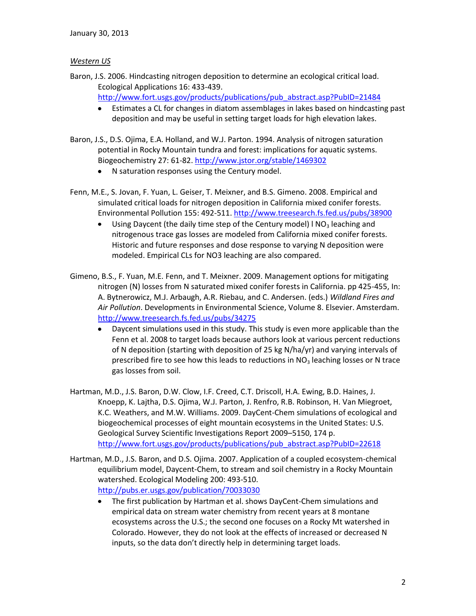## *Western US*

Baron, J.S. 2006. Hindcasting nitrogen deposition to determine an ecological critical load. Ecological Applications 16: 433-439.

[http://www.fort.usgs.gov/products/publications/pub\\_abstract.asp?PubID=21484](http://www.fort.usgs.gov/products/publications/pub_abstract.asp?PubID=21484)

- Estimates a CL for changes in diatom assemblages in lakes based on hindcasting past  $\bullet$ deposition and may be useful in setting target loads for high elevation lakes.
- Baron, J.S., D.S. Ojima, E.A. Holland, and W.J. Parton. 1994. Analysis of nitrogen saturation potential in Rocky Mountain tundra and forest: implications for aquatic systems. Biogeochemistry 27: 61-82. <http://www.jstor.org/stable/1469302>
	- N saturation responses using the Century model.
- Fenn, M.E., S. Jovan, F. Yuan, L. Geiser, T. Meixner, and B.S. Gimeno. 2008. Empirical and simulated critical loads for nitrogen deposition in California mixed conifer forests. Environmental Pollution 155: 492-511. <http://www.treesearch.fs.fed.us/pubs/38900>
	- Using Daycent (the daily time step of the Century model)  $1 \text{ NO}_3$  leaching and  $\bullet$ nitrogenous trace gas losses are modeled from California mixed conifer forests. Historic and future responses and dose response to varying N deposition were modeled. Empirical CLs for NO3 leaching are also compared.
- Gimeno, B.S., F. Yuan, M.E. Fenn, and T. Meixner. 2009. Management options for mitigating nitrogen (N) losses from N saturated mixed conifer forests in California. pp 425-455, In: A. Bytnerowicz, M.J. Arbaugh, A.R. Riebau, and C. Andersen. (eds.) *Wildland Fires and Air Pollution*. Developments in Environmental Science, Volume 8. Elsevier. Amsterdam. <http://www.treesearch.fs.fed.us/pubs/34275>
	- $\bullet$ Daycent simulations used in this study. This study is even more applicable than the Fenn et al. 2008 to target loads because authors look at various percent reductions of N deposition (starting with deposition of 25 kg N/ha/yr) and varying intervals of prescribed fire to see how this leads to reductions in  $NO<sub>3</sub>$  leaching losses or N trace gas losses from soil.
- Hartman, M.D., J.S. Baron, D.W. Clow, I.F. Creed, C.T. Driscoll, H.A. Ewing, B.D. Haines, J. Knoepp, K. Lajtha, D.S. Ojima, W.J. Parton, J. Renfro, R.B. Robinson, H. Van Miegroet, K.C. Weathers, and M.W. Williams. 2009. DayCent-Chem simulations of ecological and biogeochemical processes of eight mountain ecosystems in the United States: U.S. Geological Survey Scientific Investigations Report 2009–5150, 174 p. [http://www.fort.usgs.gov/products/publications/pub\\_abstract.asp?PubID=22618](http://www.fort.usgs.gov/products/publications/pub_abstract.asp?PubID=22618)
- Hartman, M.D., J.S. Baron, and D.S. Ojima. 2007. Application of a coupled ecosystem-chemical equilibrium model, Daycent-Chem, to stream and soil chemistry in a Rocky Mountain watershed. Ecological Modeling 200: 493-510. <http://pubs.er.usgs.gov/publication/70033030>
	- The first publication by Hartman et al. shows DayCent-Chem simulations and  $\bullet$ empirical data on stream water chemistry from recent years at 8 montane ecosystems across the U.S.; the second one focuses on a Rocky Mt watershed in Colorado. However, they do not look at the effects of increased or decreased N inputs, so the data don't directly help in determining target loads.